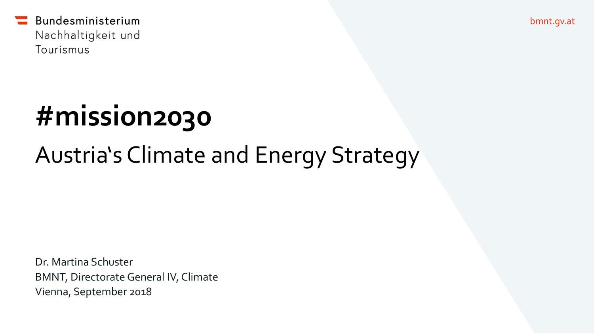bmnt.gv.at

Bundesministerium Nachhaltigkeit und Tourismus

# **#mission2030**

# Austria's Climate and Energy Strategy

Dr. Martina Schuster BMNT, Directorate General IV, Climate Vienna, September 2018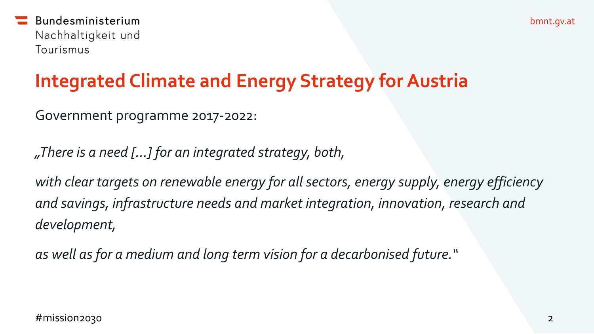### **Integrated Climate and Energy Strategy for Austria**

Government programme 2017-2022:

*"There is a need […] for an integrated strategy, both,* 

*with clear targets on renewable energy for all sectors, energy supply, energy efficiency and savings, infrastructure needs and market integration, innovation, research and development,* 

*as well asfor a medium and long term vision for a decarbonised future."*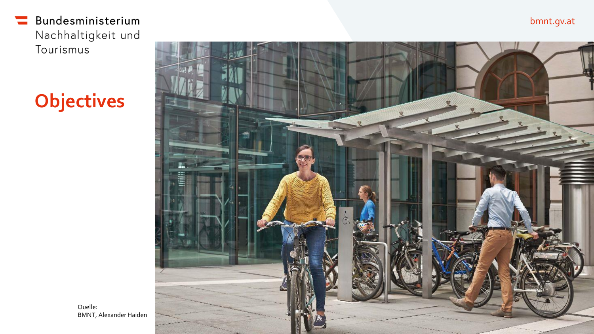# **Objectives**



bmnt.gv.at

Quelle: BMNT, Alexander Haiden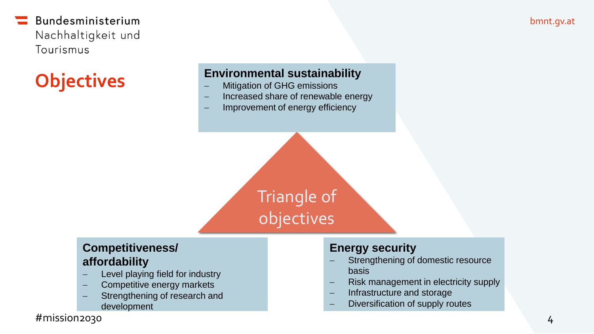# **Objectives**

#### **Environmental sustainability**

- Mitigation of GHG emissions
- Increased share of renewable energy
- Improvement of energy efficiency

Triangle of objectives

#### **Competitiveness/ affordability**

- Level playing field for industry
- Competitive energy markets
- Strengthening of research and development

#### **Energy security**

- Strengthening of domestic resource basis
- Risk management in electricity supply
- Infrastructure and storage
- Diversification of supply routes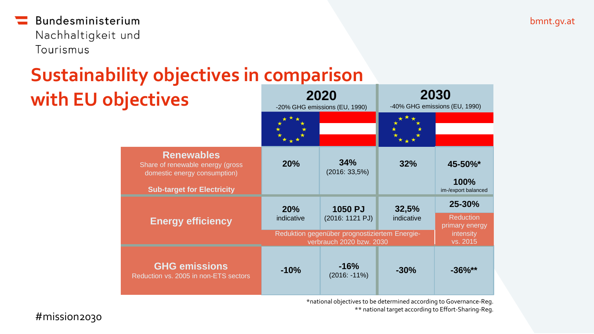### **Sustainability objectives in comparison with EU objectives 2020**

|                                                                                                                             | -20% GHG emissions (EU, 1990)                                             |                            | -40% GHG emissions (EU, 1990) |                                               |
|-----------------------------------------------------------------------------------------------------------------------------|---------------------------------------------------------------------------|----------------------------|-------------------------------|-----------------------------------------------|
|                                                                                                                             |                                                                           |                            |                               |                                               |
| <b>Renewables</b><br>Share of renewable energy (gross)<br>domestic energy consumption)<br><b>Sub-target for Electricity</b> | 20%                                                                       | 34%<br>(2016: 33,5%)       | 32%                           | 45-50%*<br><b>100%</b><br>im-/export balanced |
| <b>Energy efficiency</b>                                                                                                    | 20%<br>indicative                                                         | 1050 PJ<br>(2016: 1121 PJ) | 32,5%<br>indicative           | 25-30%<br><b>Reduction</b>                    |
|                                                                                                                             | Reduktion gegenüber prognostiziertem Energie-<br>verbrauch 2020 bzw. 2030 |                            |                               | primary energy<br>intensity<br>vs. 2015       |
| <b>GHG emissions</b><br>Reduction vs. 2005 in non-ETS sectors                                                               | $-10%$                                                                    | $-16%$<br>$(2016: -11\%)$  | $-30%$                        | $-36\%**$                                     |

\*national objectives to be determined according to Governance-Reg. \*\* national target according to Effort-Sharing-Reg.

**2030**

#mission2030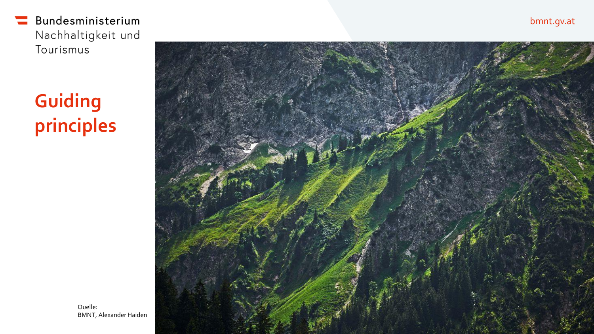# **Guiding principles**



bmnt.gv.at

Quelle: BMNT, Alexander Haiden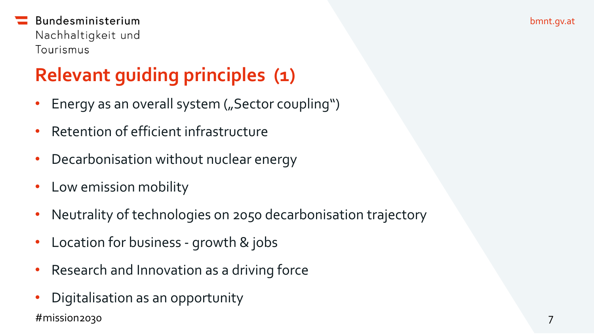# **Relevant guiding principles (1)**

- Energy as an overall system ("Sector coupling")
- Retention of efficient infrastructure
- Decarbonisation without nuclear energy
- Low emission mobility
- Neutrality of technologies on 2050 decarbonisation trajectory
- Location for business growth & jobs
- Research and Innovation as a driving force
- Digitalisation as an opportunity #mission2030 7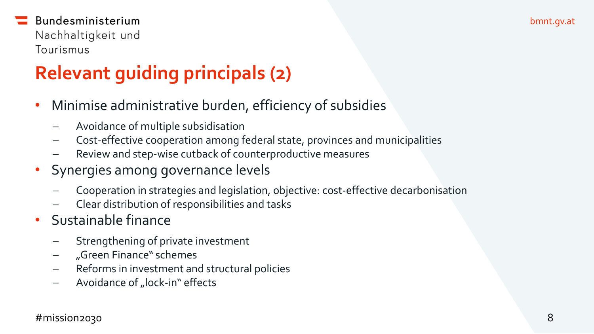# **Relevant guiding principals (2)**

- Minimise administrative burden, efficiency of subsidies
	- Avoidance of multiple subsidisation
	- Cost-effective cooperation among federal state, provinces and municipalities
	- Review and step-wise cutback of counterproductive measures
- Synergies among governance levels
	- Cooperation in strategies and legislation, objective: cost-effective decarbonisation
	- Clear distribution of responsibilities and tasks
- Sustainable finance
	- Strengthening of private investment
	- "Green Finance" schemes
	- Reforms in investment and structural policies
	- Avoidance of "lock-in" effects

#### #mission2030 8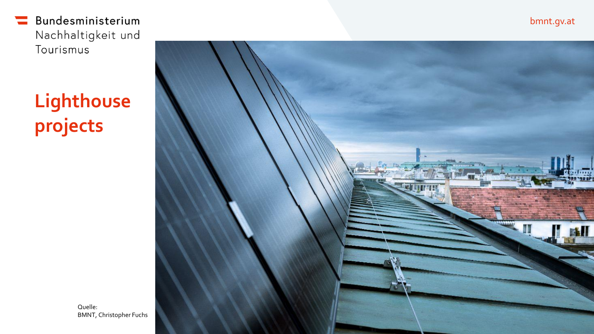# **Lighthouse projects**



bmnt.gv.at

Quelle: BMNT, Christopher Fuchs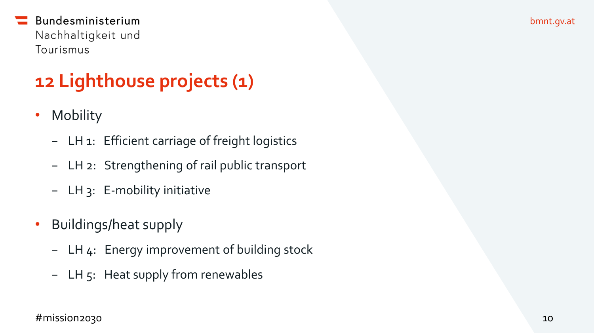# **12 Lighthouse projects (1)**

- Mobility
	- − LH 1: Efficient carriage of freight logistics
	- − LH 2: Strengthening of rail public transport
	- − LH 3: E-mobility initiative
- Buildings/heat supply
	- − LH 4: Energy improvement of building stock
	- − LH 5: Heat supply from renewables

#mission2030 10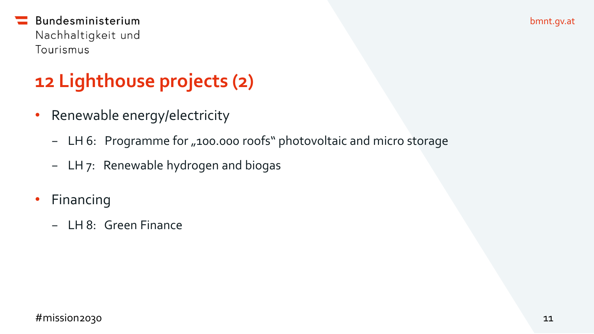# **12 Lighthouse projects (2)**

- Renewable energy/electricity
	- − LH 6: Programme for "100.000 roofs" photovoltaic and micro storage
	- − LH 7: Renewable hydrogen and biogas
- Financing
	- − LH 8: Green Finance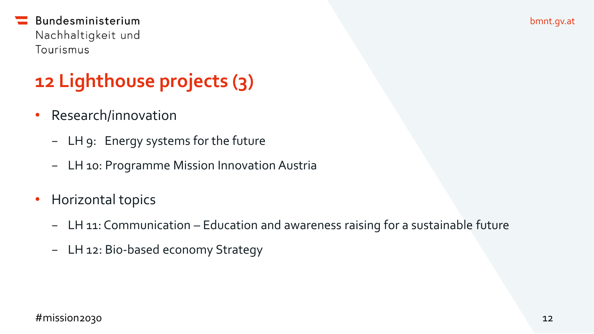bmnt.gv.at

### Bundesministerium Nachhaltigkeit und Tourismus

# **12 Lighthouse projects (3)**

- Research/innovation
	- − LH 9: Energy systems for the future
	- − LH 10: Programme Mission Innovation Austria
- Horizontal topics
	- − LH 11: Communication Education and awareness raising for a sustainable future
	- − LH 12: Bio-based economy Strategy

#### #mission2030 12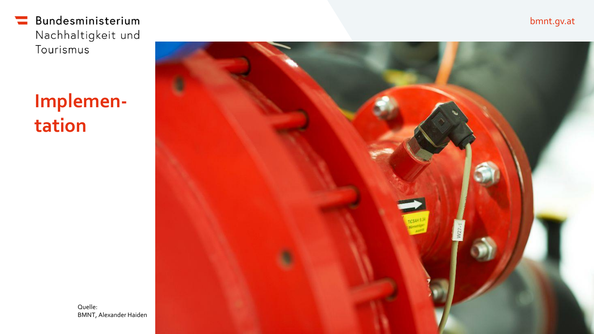# **Implementation**



bmnt.gv.at

Quelle: BMNT, Alexander Haiden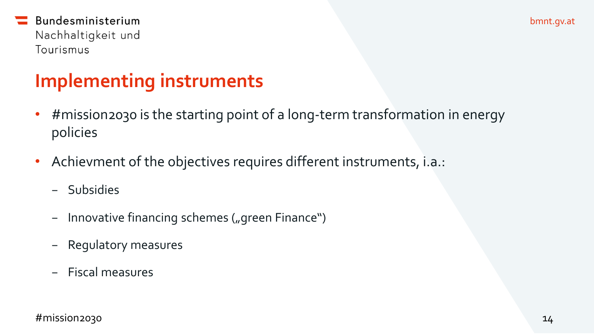### **Implementing instruments**

- #mission2030 is the starting point of a long-term transformation in energy policies
- Achievment of the objectives requires different instruments, i.a.:
	- − Subsidies
	- − Innovative financing schemes ("green Finance")
	- − Regulatory measures
	- − Fiscal measures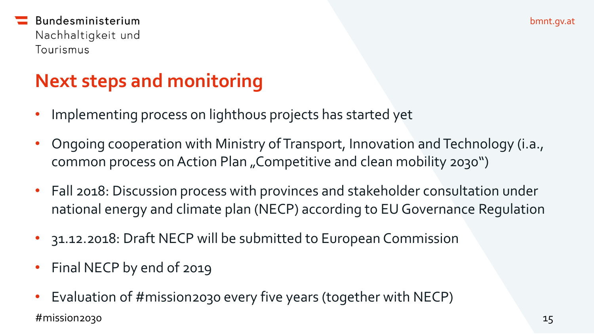### **Next steps and monitoring**

- Implementing process on lighthous projects has started yet
- Ongoing cooperation with Ministry of Transport, Innovation and Technology (i.a., common process on Action Plan "Competitive and clean mobility 2030")
- Fall 2018: Discussion process with provinces and stakeholder consultation under national energy and climate plan (NECP) according to EU Governance Regulation
- 31.12.2018: Draft NECP will be submitted to European Commission
- Final NECP by end of 2019
- Evaluation of #mission2030 every five years (together with NECP)  $\#$ mission2030  $^{15}$